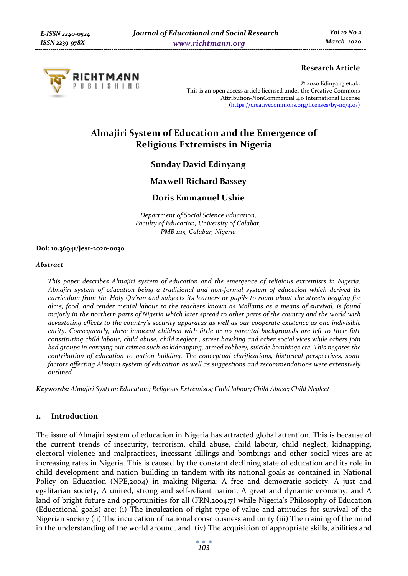

# **Research Article**

© 2020 Edinyang et.al.. This is an open access article licensed under the Creative Commons Attribution-NonCommercial 4.0 International License (https://creativecommons.org/licenses/by-nc/4.0/)

# **Almajiri System of Education and the Emergence of Religious Extremists in Nigeria**

# **Sunday David Edinyang**

# **Maxwell Richard Bassey**

# **Doris Emmanuel Ushie**

*Department of Social Science Education, Faculty of Education, University of Calabar, PMB 1115, Calabar, Nigeria* 

#### **Doi: 10.36941/jesr-2020-0030**

#### *Abstract*

*This paper describes Almajiri system of education and the emergence of religious extremists in Nigeria. Almajiri system of education being a traditional and non-formal system of education which derived its curriculum from the Holy Qu'ran and subjects its learners or pupils to roam about the streets begging for alms, food, and render menial labour to the teachers known as Mallams as a means of survival, is found majorly in the northern parts of Nigeria which later spread to other parts of the country and the world with devastating effects to the country's security apparatus as well as our cooperate existence as one indivisible entity. Consequently, these innocent children with little or no parental backgrounds are left to their fate constituting child labour, child abuse, child neglect , street hawking and other social vices while others join bad groups in carrying out crimes such as kidnapping, armed robbery, suicide bombings etc. This negates the contribution of education to nation building. The conceptual clarifications, historical perspectives, some factors affecting Almajiri system of education as well as suggestions and recommendations were extensively outlined.* 

*Keywords: Almajiri System; Education; Religious Extremists; Child labour; Child Abuse; Child Neglect* 

#### **1. Introduction**

The issue of Almajiri system of education in Nigeria has attracted global attention. This is because of the current trends of insecurity, terrorism, child abuse, child labour, child neglect, kidnapping, electoral violence and malpractices, incessant killings and bombings and other social vices are at increasing rates in Nigeria. This is caused by the constant declining state of education and its role in child development and nation building in tandem with its national goals as contained in National Policy on Education (NPE,2004) in making Nigeria: A free and democratic society, A just and egalitarian society, A united, strong and self-reliant nation, A great and dynamic economy, and A land of bright future and opportunities for all (FRN,2004:7) while Nigeria's Philosophy of Education (Educational goals) are: (i) The inculcation of right type of value and attitudes for survival of the Nigerian society (ii) The inculcation of national consciousness and unity (iii) The training of the mind in the understanding of the world around, and (iv) The acquisition of appropriate skills, abilities and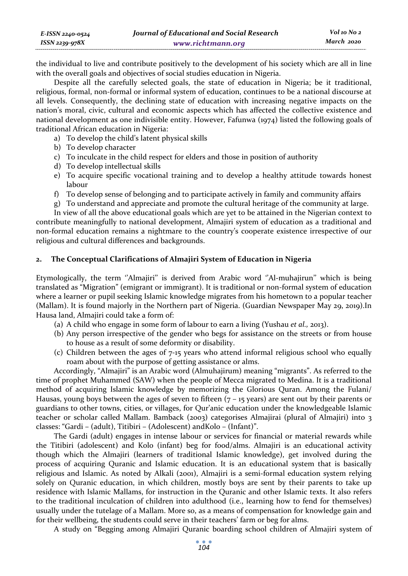| E-ISSN 2240-0524 | Journal of Educational and Social Research | Vol 10 No 2 |
|------------------|--------------------------------------------|-------------|
| ISSN 2239-978X   | www.richtmann.org                          | March 2020  |

the individual to live and contribute positively to the development of his society which are all in line with the overall goals and objectives of social studies education in Nigeria.

Despite all the carefully selected goals, the state of education in Nigeria; be it traditional, religious, formal, non-formal or informal system of education, continues to be a national discourse at all levels. Consequently, the declining state of education with increasing negative impacts on the nation's moral, civic, cultural and economic aspects which has affected the collective existence and national development as one indivisible entity. However, Fafunwa (1974) listed the following goals of traditional African education in Nigeria:

- a) To develop the child's latent physical skills
- b) To develop character
- c) To inculcate in the child respect for elders and those in position of authority
- d) To develop intellectual skills
- e) To acquire specific vocational training and to develop a healthy attitude towards honest labour
- f) To develop sense of belonging and to participate actively in family and community affairs
- g) To understand and appreciate and promote the cultural heritage of the community at large.

In view of all the above educational goals which are yet to be attained in the Nigerian context to contribute meaningfully to national development, Almajiri system of education as a traditional and non-formal education remains a nightmare to the country's cooperate existence irrespective of our religious and cultural differences and backgrounds.

# **2. The Conceptual Clarifications of Almajiri System of Education in Nigeria**

Etymologically, the term ''Almajiri'' is derived from Arabic word ''Al-muhajirun'' which is being translated as "Migration" (emigrant or immigrant). It is traditional or non-formal system of education where a learner or pupil seeking Islamic knowledge migrates from his hometown to a popular teacher (Mallam). It is found majorly in the Northern part of Nigeria. (Guardian Newspaper May 29, 2019).In Hausa land, Almajiri could take a form of:

- (a) A child who engage in some form of labour to earn a living (Yushau *et al.,* 2013).
- (b) Any person irrespective of the gender who begs for assistance on the streets or from house to house as a result of some deformity or disability.
- (c) Children between the ages of 7-15 years who attend informal religious school who equally roam about with the purpose of getting assistance or alms.

Accordingly, "Almajiri" is an Arabic word (Almuhajirum) meaning "migrants". As referred to the time of prophet Muhammed (SAW) when the people of Mecca migrated to Medina. It is a traditional method of acquiring Islamic knowledge by memorizing the Glorious Quran. Among the Fulani/ Hausas, young boys between the ages of seven to fifteen  $(7 - 15$  years) are sent out by their parents or guardians to other towns, cities, or villages, for Qur'anic education under the knowledgeable Islamic teacher or scholar called Mallam. Bamback (2003) categorises Almajirai (plural of Almajiri) into 3 classes: "Gardi – (adult), Titibiri – (Adolescent) andKolo – (Infant)".

The Gardi (adult) engages in intense labour or services for financial or material rewards while the Titibiri (adolescent) and Kolo (infant) beg for food/alms. Almajiri is an educational activity though which the Almajiri (learners of traditional Islamic knowledge), get involved during the process of acquiring Quranic and Islamic education. It is an educational system that is basically religious and Islamic. As noted by Alkali (2001), Almajiri is a semi-formal education system relying solely on Quranic education, in which children, mostly boys are sent by their parents to take up residence with Islamic Mallams, for instruction in the Quranic and other Islamic texts. It also refers to the traditional inculcation of children into adulthood (i.e., learning how to fend for themselves) usually under the tutelage of a Mallam. More so, as a means of compensation for knowledge gain and for their wellbeing, the students could serve in their teachers' farm or beg for alms.

A study on "Begging among Almajiri Quranic boarding school children of Almajiri system of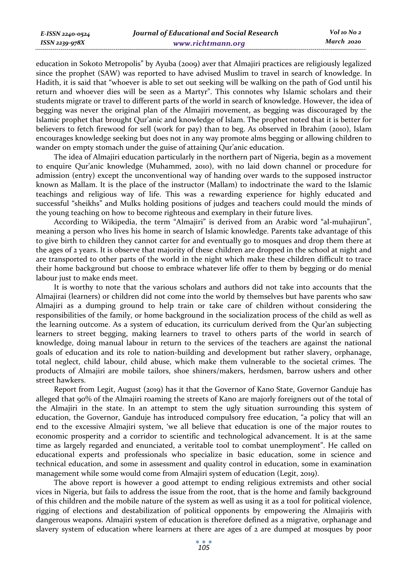education in Sokoto Metropolis" by Ayuba (2009) aver that Almajiri practices are religiously legalized since the prophet (SAW) was reported to have advised Muslim to travel in search of knowledge. In Hadith, it is said that "whoever is able to set out seeking will be walking on the path of God until his return and whoever dies will be seen as a Martyr". This connotes why Islamic scholars and their students migrate or travel to different parts of the world in search of knowledge. However, the idea of begging was never the original plan of the Almajiri movement, as begging was discouraged by the Islamic prophet that brought Qur'anic and knowledge of Islam. The prophet noted that it is better for believers to fetch firewood for sell (work for pay) than to beg. As observed in Ibrahim (2010), Islam encourages knowledge seeking but does not in any way promote alms begging or allowing children to wander on empty stomach under the guise of attaining Qur'anic education.

The idea of Almajiri education particularly in the northern part of Nigeria, begin as a movement to enquire Qur'anic knowledge (Muhammed, 2010), with no laid down channel or procedure for admission (entry) except the unconventional way of handing over wards to the supposed instructor known as Mallam. It is the place of the instructor (Mallam) to indoctrinate the ward to the Islamic teachings and religious way of life. This was a rewarding experience for highly educated and successful "sheikhs" and Mulks holding positions of judges and teachers could mould the minds of the young teaching on how to become righteous and exemplary in their future lives.

According to Wikipedia, the term "Almajiri" is derived from an Arabic word "al-muhajirun", meaning a person who lives his home in search of Islamic knowledge. Parents take advantage of this to give birth to children they cannot carter for and eventually go to mosques and drop them there at the ages of 2 years. It is observe that majority of these children are dropped in the school at night and are transported to other parts of the world in the night which make these children difficult to trace their home background but choose to embrace whatever life offer to them by begging or do menial labour just to make ends meet.

It is worthy to note that the various scholars and authors did not take into accounts that the Almajirai (learners) or children did not come into the world by themselves but have parents who saw Almajiri as a dumping ground to help train or take care of children without considering the responsibilities of the family, or home background in the socialization process of the child as well as the learning outcome. As a system of education, its curriculum derived from the Qur'an subjecting learners to street begging, making learners to travel to others parts of the world in search of knowledge, doing manual labour in return to the services of the teachers are against the national goals of education and its role to nation-building and development but rather slavery, orphanage, total neglect, child labour, child abuse, which make them vulnerable to the societal crimes. The products of Almajiri are mobile tailors, shoe shiners/makers, herdsmen, barrow ushers and other street hawkers.

Report from Legit, August (2019) has it that the Governor of Kano State, Governor Ganduje has alleged that 90% of the Almajiri roaming the streets of Kano are majorly foreigners out of the total of the Almajiri in the state. In an attempt to stem the ugly situation surrounding this system of education, the Governor, Ganduje has introduced compulsory free education, "a policy that will an end to the excessive Almajiri system, 'we all believe that education is one of the major routes to economic prosperity and a corridor to scientific and technological advancement. It is at the same time as largely regarded and enunciated, a veritable tool to combat unemployment". He called on educational experts and professionals who specialize in basic education, some in science and technical education, and some in assessment and quality control in education, some in examination management while some would come from Almajiri system of education (Legit, 2019).

The above report is however a good attempt to ending religious extremists and other social vices in Nigeria, but fails to address the issue from the root, that is the home and family background of this children and the mobile nature of the system as well as using it as a tool for political violence, rigging of elections and destabilization of political opponents by empowering the Almajiris with dangerous weapons. Almajiri system of education is therefore defined as a migrative, orphanage and slavery system of education where learners at there are ages of 2 are dumped at mosques by poor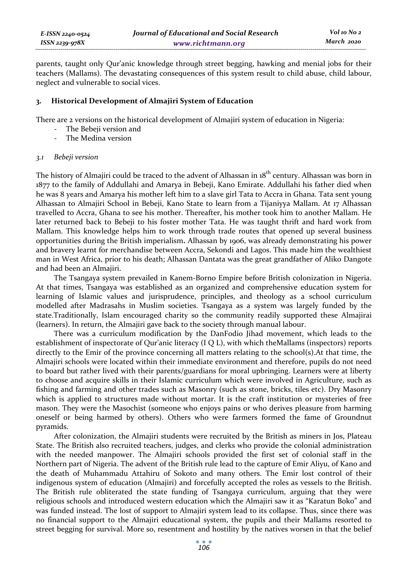parents, taught only Qur'anic knowledge through street begging, hawking and menial jobs for their teachers (Mallams). The devastating consequences of this system result to child abuse, child labour, neglect and vulnerable to social vices.

#### **3. Historical Development of Almajiri System of Education**

There are 2 versions on the historical development of Almajiri system of education in Nigeria:

- The Bebeji version and
- The Medina version

#### *3.1 Bebeji version*

The history of Almajiri could be traced to the advent of Alhassan in 18<sup>th</sup> century. Alhassan was born in 1877 to the family of Addullahi and Amarya in Bebeji, Kano Emirate. Addullahi his father died when he was 8 years and Amarya his mother left him to a slave girl Tata to Accra in Ghana. Tata sent young Alhassan to Almajiri School in Bebeji, Kano State to learn from a Tijaniyya Mallam. At 17 Alhassan travelled to Accra, Ghana to see his mother. Thereafter, his mother took him to another Mallam. He later returned back to Bebeji to his foster mother Tata. He was taught thrift and hard work from Mallam. This knowledge helps him to work through trade routes that opened up several business opportunities during the British imperialism**.** Alhassan by 1906, was already demonstrating his power and bravery learnt for merchandise between Accra, Sekondi and Lagos. This made him the wealthiest man in West Africa, prior to his death; Alhassan Dantata was the great grandfather of Aliko Dangote and had been an Almajiri.

The Tsangaya system prevailed in Kanem-Borno Empire before British colonization in Nigeria. At that times, Tsangaya was established as an organized and comprehensive education system for learning of Islamic values and jurisprudence, principles, and theology as a school curriculum modelled after Madrasahs in Muslim societies. Tsangaya as a system was largely funded by the state.Traditionally, Islam encouraged charity so the community readily supported these Almajirai (learners). In return, the Almajiri gave back to the society through manual labour.

There was a curriculum modification by the DanFodio Jihad movement, which leads to the establishment of inspectorate of Qur'anic literacy (I Q L), with which theMallams (inspectors) reports directly to the Emir of the province concerning all matters relating to the school(s).At that time, the Almajiri schools were located within their immediate environment and therefore, pupils do not need to board but rather lived with their parents/guardians for moral upbringing. Learners were at liberty to choose and acquire skills in their Islamic curriculum which were involved in Agriculture, such as fishing and farming and other trades such as Masonry (such as stone, bricks, tiles etc). Dry Masonry which is applied to structures made without mortar. It is the craft institution or mysteries of free mason. They were the Masochist (someone who enjoys pains or who derives pleasure from harming oneself or being harmed by others). Others who were farmers formed the fame of Groundnut pyramids.

After colonization, the Almajiri students were recruited by the British as miners in Jos, Plateau State. The British also recruited teachers, judges, and clerks who provide the colonial administration with the needed manpower. The Almajiri schools provided the first set of colonial staff in the Northern part of Nigeria. The advent of the British rule lead to the capture of Emir Aliyu, of Kano and the death of Muhammadu Attahiru of Sokoto and many others. The Emir lost control of their indigenous system of education (Almajiri) and forcefully accepted the roles as vessels to the British. The British rule obliterated the state funding of Tsangaya curriculum, arguing that they were religious schools and introduced western education which the Almajiri saw it as "Karatun Boko" and was funded instead. The lost of support to Almajiri system lead to its collapse. Thus, since there was no financial support to the Almajiri educational system, the pupils and their Mallams resorted to street begging for survival. More so, resentment and hostility by the natives worsen in that the belief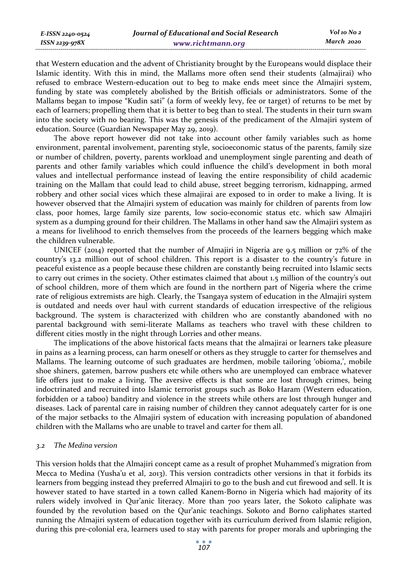| E-ISSN 2240-0524    | Journal of Educational and Social Research | Vol 10 No 2 |
|---------------------|--------------------------------------------|-------------|
| $ISSN$ 2239-97 $8X$ | www.richtmann.org                          | March 2020  |

that Western education and the advent of Christianity brought by the Europeans would displace their Islamic identity. With this in mind, the Mallams more often send their students (almajirai) who refused to embrace Western-education out to beg to make ends meet since the Almajiri system, funding by state was completely abolished by the British officials or administrators. Some of the Mallams began to impose "Kudin sati" (a form of weekly levy, fee or target) of returns to be met by each of learners; propelling them that it is better to beg than to steal. The students in their turn swam into the society with no bearing. This was the genesis of the predicament of the Almajiri system of education. Source (Guardian Newspaper May 29, 2019).

The above report however did not take into account other family variables such as home environment, parental involvement, parenting style, socioeconomic status of the parents, family size or number of children, poverty, parents workload and unemployment single parenting and death of parents and other family variables which could influence the child's development in both moral values and intellectual performance instead of leaving the entire responsibility of child academic training on the Mallam that could lead to child abuse, street begging terrorism, kidnapping, armed robbery and other social vices which these almajirai are exposed to in order to make a living. It is however observed that the Almajiri system of education was mainly for children of parents from low class, poor homes, large family size parents, low socio-economic status etc. which saw Almajiri system as a dumping ground for their children. The Mallams in other hand saw the Almajiri system as a means for livelihood to enrich themselves from the proceeds of the learners begging which make the children vulnerable.

UNICEF (2014) reported that the number of Almajiri in Nigeria are 9.5 million or 72% of the country's 13.2 million out of school children. This report is a disaster to the country's future in peaceful existence as a people because these children are constantly being recruited into Islamic sects to carry out crimes in the society. Other estimates claimed that about 1.5 million of the country's out of school children, more of them which are found in the northern part of Nigeria where the crime rate of religious extremists are high. Clearly, the Tsangaya system of education in the Almajiri system is outdated and needs over haul with current standards of education irrespective of the religious background. The system is characterized with children who are constantly abandoned with no parental background with semi-literate Mallams as teachers who travel with these children to different cities mostly in the night through Lorries and other means.

The implications of the above historical facts means that the almajirai or learners take pleasure in pains as a learning process, can harm oneself or others as they struggle to carter for themselves and Mallams. The learning outcome of such graduates are herdmen, mobile tailoring 'obioma,', mobile shoe shiners, gatemen, barrow pushers etc while others who are unemployed can embrace whatever life offers just to make a living. The aversive effects is that some are lost through crimes, being indoctrinated and recruited into Islamic terrorist groups such as Boko Haram (Western education, forbidden or a taboo) banditry and violence in the streets while others are lost through hunger and diseases. Lack of parental care in raising number of children they cannot adequately carter for is one of the major setbacks to the Almajiri system of education with increasing population of abandoned children with the Mallams who are unable to travel and carter for them all.

### *3.2 The Medina version*

This version holds that the Almajiri concept came as a result of prophet Muhammed's migration from Mecca to Medina (Yusha'u et al, 2013). This version contradicts other versions in that it forbids its learners from begging instead they preferred Almajiri to go to the bush and cut firewood and sell. It is however stated to have started in a town called Kanem-Borno in Nigeria which had majority of its rulers widely involved in Qur'anic literacy. More than 700 years later, the Sokoto caliphate was founded by the revolution based on the Qur'anic teachings. Sokoto and Borno caliphates started running the Almajiri system of education together with its curriculum derived from Islamic religion, during this pre-colonial era, learners used to stay with parents for proper morals and upbringing the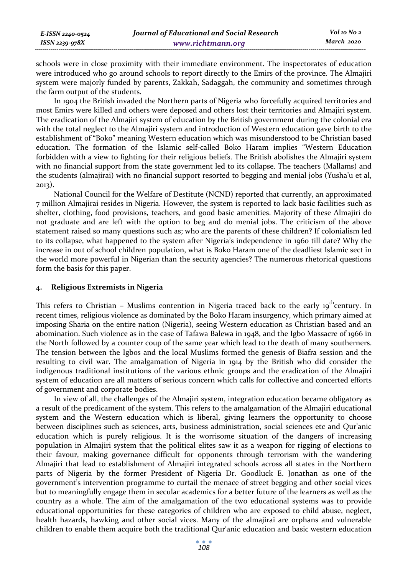| E-ISSN 2240-0524 | Journal of Educational and Social Research | Vol 10 No 2 |
|------------------|--------------------------------------------|-------------|
| ISSN 2239-978X   | www.richtmann.org                          | March 2020  |

schools were in close proximity with their immediate environment. The inspectorates of education were introduced who go around schools to report directly to the Emirs of the province. The Almajiri system were majorly funded by parents, Zakkah, Sadaggah, the community and sometimes through the farm output of the students.

In 1904 the British invaded the Northern parts of Nigeria who forcefully acquired territories and most Emirs were killed and others were deposed and others lost their territories and Almajiri system. The eradication of the Almajiri system of education by the British government during the colonial era with the total neglect to the Almajiri system and introduction of Western education gave birth to the establishment of "Boko" meaning Western education which was misunderstood to be Christian based education. The formation of the Islamic self-called Boko Haram implies "Western Education forbidden with a view to fighting for their religious beliefs. The British abolishes the Almajiri system with no financial support from the state government led to its collapse. The teachers (Mallams) and the students (almajirai) with no financial support resorted to begging and menial jobs (Yusha'u et al, 2013).

National Council for the Welfare of Destitute (NCND) reported that currently, an approximated 7 million Almajirai resides in Nigeria. However, the system is reported to lack basic facilities such as shelter, clothing, food provisions, teachers, and good basic amenities. Majority of these Almajiri do not graduate and are left with the option to beg and do menial jobs. The criticism of the above statement raised so many questions such as; who are the parents of these children? If colonialism led to its collapse, what happened to the system after Nigeria's independence in 1960 till date? Why the increase in out of school children population, what is Boko Haram one of the deadliest Islamic sect in the world more powerful in Nigerian than the security agencies? The numerous rhetorical questions form the basis for this paper.

# **4. Religious Extremists in Nigeria**

This refers to Christian – Muslims contention in Nigeria traced back to the early  $19^{th}$ century. In recent times, religious violence as dominated by the Boko Haram insurgency, which primary aimed at imposing Sharia on the entire nation (Nigeria), seeing Western education as Christian based and an abomination. Such violence as in the case of Tafawa Balewa in 1948, and the Igbo Massacre of 1966 in the North followed by a counter coup of the same year which lead to the death of many southerners. The tension between the Igbos and the local Muslims formed the genesis of Biafra session and the resulting to civil war. The amalgamation of Nigeria in 1914 by the British who did consider the indigenous traditional institutions of the various ethnic groups and the eradication of the Almajiri system of education are all matters of serious concern which calls for collective and concerted efforts of government and corporate bodies.

In view of all, the challenges of the Almajiri system, integration education became obligatory as a result of the predicament of the system. This refers to the amalgamation of the Almajiri educational system and the Western education which is liberal, giving learners the opportunity to choose between disciplines such as sciences, arts, business administration, social sciences etc and Qur'anic education which is purely religious. It is the worrisome situation of the dangers of increasing population in Almajiri system that the political elites saw it as a weapon for rigging of elections to their favour, making governance difficult for opponents through terrorism with the wandering Almajiri that lead to establishment of Almajiri integrated schools across all states in the Northern parts of Nigeria by the former President of Nigeria Dr. Goodluck E. Jonathan as one of the government's intervention programme to curtail the menace of street begging and other social vices but to meaningfully engage them in secular academics for a better future of the learners as well as the country as a whole. The aim of the amalgamation of the two educational systems was to provide educational opportunities for these categories of children who are exposed to child abuse, neglect, health hazards, hawking and other social vices. Many of the almajirai are orphans and vulnerable children to enable them acquire both the traditional Qur'anic education and basic western education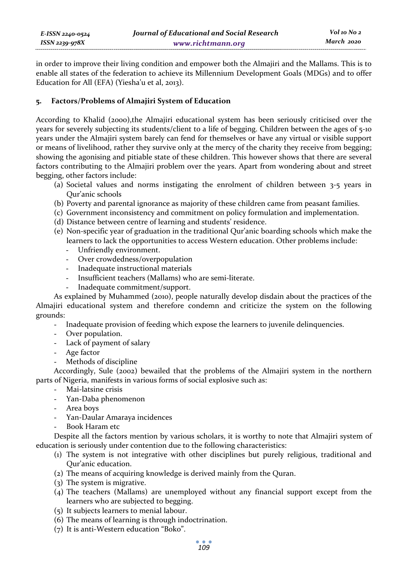| E-ISSN 2240-0524   | Journal of Educational and Social Research |
|--------------------|--------------------------------------------|
| $ISSN 2239 - 978X$ | www.richtmann.org                          |

in order to improve their living condition and empower both the Almajiri and the Mallams. This is to enable all states of the federation to achieve its Millennium Development Goals (MDGs) and to offer Education for All (EFA) (Yiesha'u et al, 2013).

### **5. Factors/Problems of Almajiri System of Education**

According to Khalid (2000),the Almajiri educational system has been seriously criticised over the years for severely subjecting its students/client to a life of begging. Children between the ages of 5-10 years under the Almajiri system barely can fend for themselves or have any virtual or visible support or means of livelihood, rather they survive only at the mercy of the charity they receive from begging; showing the agonising and pitiable state of these children. This however shows that there are several factors contributing to the Almajiri problem over the years. Apart from wondering about and street begging, other factors include:

- (a) Societal values and norms instigating the enrolment of children between 3-5 years in Qur'anic schools
- (b) Poverty and parental ignorance as majority of these children came from peasant families.
- (c) Government inconsistency and commitment on policy formulation and implementation.
- (d) Distance between centre of learning and students' residence.
- (e) Non-specific year of graduation in the traditional Qur'anic boarding schools which make the learners to lack the opportunities to access Western education. Other problems include:
	- Unfriendly environment.
	- Over crowdedness/overpopulation
	- Inadequate instructional materials
	- Insufficient teachers (Mallams) who are semi-literate.
	- Inadequate commitment/support.

As explained by Muhammed (2010), people naturally develop disdain about the practices of the Almajiri educational system and therefore condemn and criticize the system on the following grounds:

- Inadequate provision of feeding which expose the learners to juvenile delinquencies.
- Over population.
- Lack of payment of salary
- Age factor
- Methods of discipline

Accordingly, Sule (2002) bewailed that the problems of the Almajiri system in the northern parts of Nigeria, manifests in various forms of social explosive such as:

- Mai-latsine crisis
- Yan-Daba phenomenon
- Area boys
- Yan-Daular Amaraya incidences
- Book Haram etc

Despite all the factors mention by various scholars, it is worthy to note that Almajiri system of education is seriously under contention due to the following characteristics:

- (1) The system is not integrative with other disciplines but purely religious, traditional and Qur'anic education.
- (2) The means of acquiring knowledge is derived mainly from the Quran.
- (3) The system is migrative.
- (4) The teachers (Mallams) are unemployed without any financial support except from the learners who are subjected to begging.
- (5) It subjects learners to menial labour.
- (6) The means of learning is through indoctrination.
- (7) It is anti-Western education "Boko".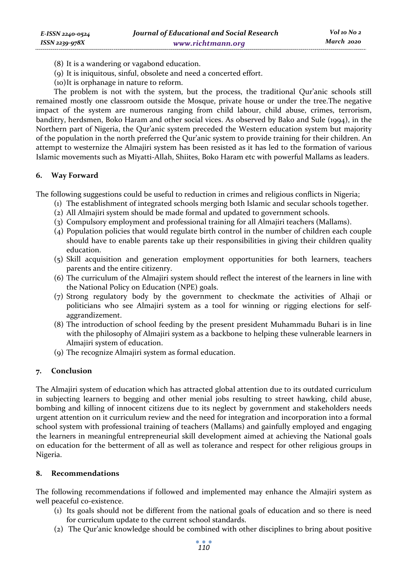- (8) It is a wandering or vagabond education.
- (9) It is iniquitous, sinful, obsolete and need a concerted effort.
- (10)It is orphanage in nature to reform.

The problem is not with the system, but the process, the traditional Qur'anic schools still remained mostly one classroom outside the Mosque, private house or under the tree.The negative impact of the system are numerous ranging from child labour, child abuse, crimes, terrorism, banditry, herdsmen, Boko Haram and other social vices. As observed by Bako and Sule (1994), in the Northern part of Nigeria, the Qur'anic system preceded the Western education system but majority of the population in the north preferred the Qur'anic system to provide training for their children. An attempt to westernize the Almajiri system has been resisted as it has led to the formation of various Islamic movements such as Miyatti-Allah, Shiites, Boko Haram etc with powerful Mallams as leaders.

# **6. Way Forward**

The following suggestions could be useful to reduction in crimes and religious conflicts in Nigeria;

- (1) The establishment of integrated schools merging both Islamic and secular schools together.
- (2) All Almajiri system should be made formal and updated to government schools.
- (3) Compulsory employment and professional training for all Almajiri teachers (Mallams).
- (4) Population policies that would regulate birth control in the number of children each couple should have to enable parents take up their responsibilities in giving their children quality education.
- (5) Skill acquisition and generation employment opportunities for both learners, teachers parents and the entire citizenry.
- (6) The curriculum of the Almajiri system should reflect the interest of the learners in line with the National Policy on Education (NPE) goals.
- (7) Strong regulatory body by the government to checkmate the activities of Alhaji or politicians who see Almajiri system as a tool for winning or rigging elections for selfaggrandizement.
- (8) The introduction of school feeding by the present president Muhammadu Buhari is in line with the philosophy of Almajiri system as a backbone to helping these vulnerable learners in Almajiri system of education.
- (9) The recognize Almajiri system as formal education.

# **7. Conclusion**

The Almajiri system of education which has attracted global attention due to its outdated curriculum in subjecting learners to begging and other menial jobs resulting to street hawking, child abuse, bombing and killing of innocent citizens due to its neglect by government and stakeholders needs urgent attention on it curriculum review and the need for integration and incorporation into a formal school system with professional training of teachers (Mallams) and gainfully employed and engaging the learners in meaningful entrepreneurial skill development aimed at achieving the National goals on education for the betterment of all as well as tolerance and respect for other religious groups in Nigeria.

# **8. Recommendations**

The following recommendations if followed and implemented may enhance the Almajiri system as well peaceful co-existence.

- (1) Its goals should not be different from the national goals of education and so there is need for curriculum update to the current school standards.
- (2) The Qur'anic knowledge should be combined with other disciplines to bring about positive